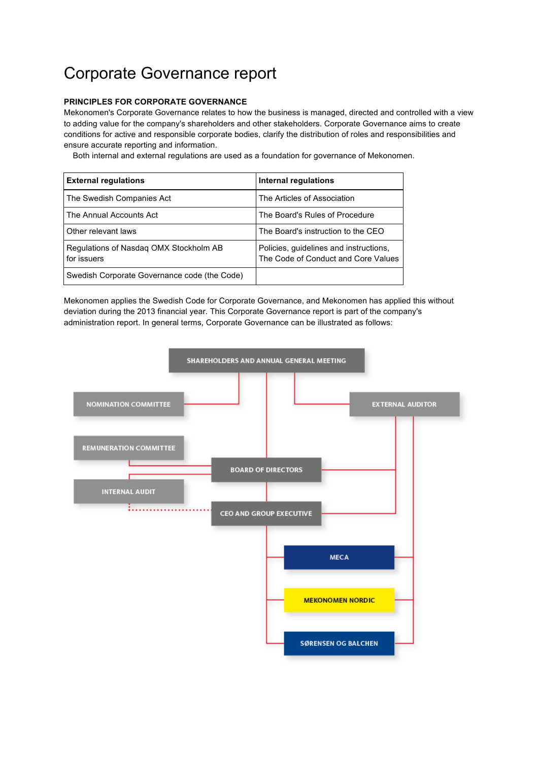# Corporate Governance report

# **PRINCIPLES FOR CORPORATE GOVERNANCE**

Mekonomen's Corporate Governance relates to how the business is managed, directed and controlled with a view to adding value for the company's shareholders and other stakeholders. Corporate Governance aims to create conditions for active and responsible corporate bodies, clarify the distribution of roles and responsibilities and ensure accurate reporting and information.

Both internal and external regulations are used as a foundation for governance of Mekonomen.

| <b>External regulations</b>                           | Internal regulations                                                          |
|-------------------------------------------------------|-------------------------------------------------------------------------------|
| The Swedish Companies Act                             | The Articles of Association                                                   |
| The Annual Accounts Act                               | The Board's Rules of Procedure                                                |
| Other relevant laws                                   | The Board's instruction to the CEO                                            |
| Regulations of Nasdag OMX Stockholm AB<br>for issuers | Policies, quidelines and instructions,<br>The Code of Conduct and Core Values |
| Swedish Corporate Governance code (the Code)          |                                                                               |

Mekonomen applies the Swedish Code for Corporate Governance, and Mekonomen has applied this without deviation during the 2013 financial year. This Corporate Governance report is part of the company's administration report. In general terms, Corporate Governance can be illustrated as follows:

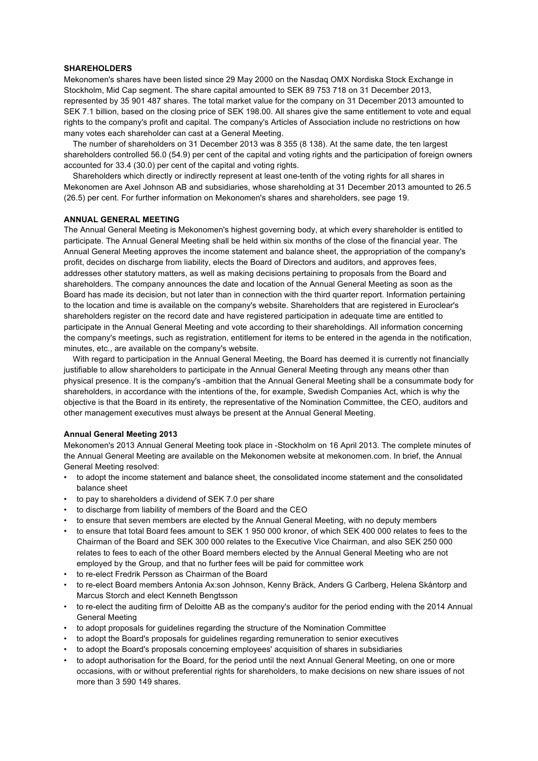#### **SHAREHOLDERS**

Mekonomen's shares have been listed since 29 May 2000 on the Nasdaq OMX Nordiska Stock Exchange in Stockholm, Mid Cap segment. The share capital amounted to SEK 89 753 718 on 31 December 2013, represented by 35 901 487 shares. The total market value for the company on 31 December 2013 amounted to SEK 7.1 billion, based on the closing price of SEK 198.00. All shares give the same entitlement to vote and equal rights to the company's profit and capital. The company's Articles of Association include no restrictions on how many votes each shareholder can cast at a General Meeting.

 The number of shareholders on 31 December 2013 was 8 355 (8 138). At the same date, the ten largest shareholders controlled 56.0 (54.9) per cent of the capital and voting rights and the participation of foreign owners accounted for 33.4 (30.0) per cent of the capital and voting rights.

 Shareholders which directly or indirectly represent at least one-tenth of the voting rights for all shares in Mekonomen are Axel Johnson AB and subsidiaries, whose shareholding at 31 December 2013 amounted to 26.5 (26.5) per cent. For further information on Mekonomen's shares and shareholders, see page 19.

#### **ANNUAL GENERAL MEETING**

The Annual General Meeting is Mekonomen's highest governing body, at which every shareholder is entitled to participate. The Annual General Meeting shall be held within six months of the close of the financial year. The Annual General Meeting approves the income statement and balance sheet, the appropriation of the company's profit, decides on discharge from liability, elects the Board of Directors and auditors, and approves fees, addresses other statutory matters, as well as making decisions pertaining to proposals from the Board and shareholders. The company announces the date and location of the Annual General Meeting as soon as the Board has made its decision, but not later than in connection with the third quarter report. Information pertaining to the location and time is available on the company's website. Shareholders that are registered in Euroclear's shareholders register on the record date and have registered participation in adequate time are entitled to participate in the Annual General Meeting and vote according to their shareholdings. All information concerning the company's meetings, such as registration, entitlement for items to be entered in the agenda in the notification, minutes, etc., are available on the company's website.

 With regard to participation in the Annual General Meeting, the Board has deemed it is currently not financially justifiable to allow shareholders to participate in the Annual General Meeting through any means other than physical presence. It is the company's -ambition that the Annual General Meeting shall be a consummate body for shareholders, in accordance with the intentions of the, for example, Swedish Companies Act, which is why the objective is that the Board in its entirety, the representative of the Nomination Committee, the CEO, auditors and other management executives must always be present at the Annual General Meeting.

### **Annual General Meeting 2013**

Mekonomen's 2013 Annual General Meeting took place in -Stockholm on 16 April 2013. The complete minutes of the Annual General Meeting are available on the Mekonomen website at mekonomen.com. In brief, the Annual General Meeting resolved:

- to adopt the income statement and balance sheet, the consolidated income statement and the consolidated balance sheet
- to pay to shareholders a dividend of SEK 7.0 per share
- to discharge from liability of members of the Board and the CEO
- to ensure that seven members are elected by the Annual General Meeting, with no deputy members
- to ensure that total Board fees amount to SEK 1 950 000 kronor, of which SEK 400 000 relates to fees to the Chairman of the Board and SEK 300 000 relates to the Executive Vice Chairman, and also SEK 250 000 relates to fees to each of the other Board members elected by the Annual General Meeting who are not employed by the Group, and that no further fees will be paid for committee work
- to re-elect Fredrik Persson as Chairman of the Board
- to re-elect Board members Antonia Ax:son Johnson, Kenny Bräck, Anders G Carlberg, Helena Skåntorp and Marcus Storch and elect Kenneth Bengtsson
- to re-elect the auditing firm of Deloitte AB as the company's auditor for the period ending with the 2014 Annual General Meeting
- to adopt proposals for guidelines regarding the structure of the Nomination Committee
- to adopt the Board's proposals for guidelines regarding remuneration to senior executives
- to adopt the Board's proposals concerning employees' acquisition of shares in subsidiaries
- to adopt authorisation for the Board, for the period until the next Annual General Meeting, on one or more occasions, with or without preferential rights for shareholders, to make decisions on new share issues of not more than 3 590 149 shares.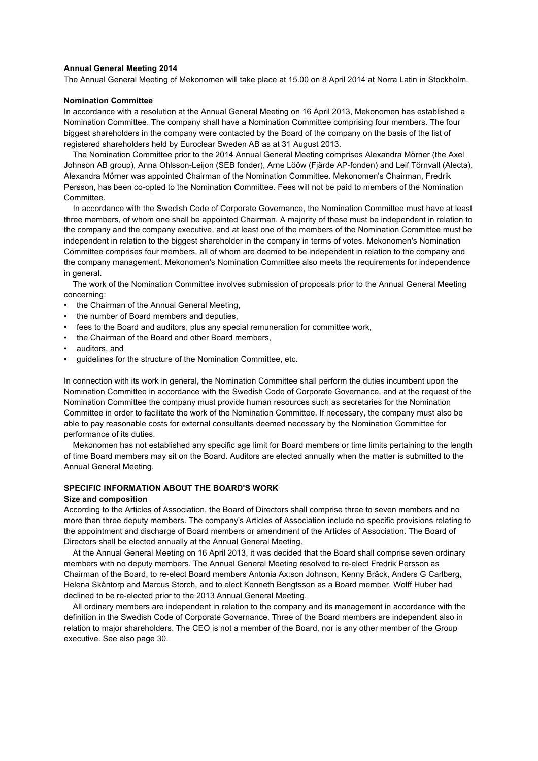## **Annual General Meeting 2014**

The Annual General Meeting of Mekonomen will take place at 15.00 on 8 April 2014 at Norra Latin in Stockholm.

#### **Nomination Committee**

In accordance with a resolution at the Annual General Meeting on 16 April 2013, Mekonomen has established a Nomination Committee. The company shall have a Nomination Committee comprising four members. The four biggest shareholders in the company were contacted by the Board of the company on the basis of the list of registered shareholders held by Euroclear Sweden AB as at 31 August 2013.

 The Nomination Committee prior to the 2014 Annual General Meeting comprises Alexandra Mörner (the Axel Johnson AB group), Anna Ohlsson-Leijon (SEB fonder), Arne Lööw (Fjärde AP-fonden) and Leif Törnvall (Alecta). Alexandra Mörner was appointed Chairman of the Nomination Committee. Mekonomen's Chairman, Fredrik Persson, has been co-opted to the Nomination Committee. Fees will not be paid to members of the Nomination **Committee** 

 In accordance with the Swedish Code of Corporate Governance, the Nomination Committee must have at least three members, of whom one shall be appointed Chairman. A majority of these must be independent in relation to the company and the company executive, and at least one of the members of the Nomination Committee must be independent in relation to the biggest shareholder in the company in terms of votes. Mekonomen's Nomination Committee comprises four members, all of whom are deemed to be independent in relation to the company and the company management. Mekonomen's Nomination Committee also meets the requirements for independence in general.

 The work of the Nomination Committee involves submission of proposals prior to the Annual General Meeting concerning:

- the Chairman of the Annual General Meeting,
- the number of Board members and deputies,
- fees to the Board and auditors, plus any special remuneration for committee work,
- the Chairman of the Board and other Board members,
- auditors, and
- guidelines for the structure of the Nomination Committee, etc.

In connection with its work in general, the Nomination Committee shall perform the duties incumbent upon the Nomination Committee in accordance with the Swedish Code of Corporate Governance, and at the request of the Nomination Committee the company must provide human resources such as secretaries for the Nomination Committee in order to facilitate the work of the Nomination Committee. If necessary, the company must also be able to pay reasonable costs for external consultants deemed necessary by the Nomination Committee for performance of its duties.

 Mekonomen has not established any specific age limit for Board members or time limits pertaining to the length of time Board members may sit on the Board. Auditors are elected annually when the matter is submitted to the Annual General Meeting.

# **SPECIFIC INFORMATION ABOUT THE BOARD'S WORK**

#### **Size and composition**

According to the Articles of Association, the Board of Directors shall comprise three to seven members and no more than three deputy members. The company's Articles of Association include no specific provisions relating to the appointment and discharge of Board members or amendment of the Articles of Association. The Board of Directors shall be elected annually at the Annual General Meeting.

 At the Annual General Meeting on 16 April 2013, it was decided that the Board shall comprise seven ordinary members with no deputy members. The Annual General Meeting resolved to re-elect Fredrik Persson as Chairman of the Board, to re-elect Board members Antonia Ax:son Johnson, Kenny Bräck, Anders G Carlberg, Helena Skåntorp and Marcus Storch, and to elect Kenneth Bengtsson as a Board member. Wolff Huber had declined to be re-elected prior to the 2013 Annual General Meeting.

 All ordinary members are independent in relation to the company and its management in accordance with the definition in the Swedish Code of Corporate Governance. Three of the Board members are independent also in relation to major shareholders. The CEO is not a member of the Board, nor is any other member of the Group executive. See also page 30.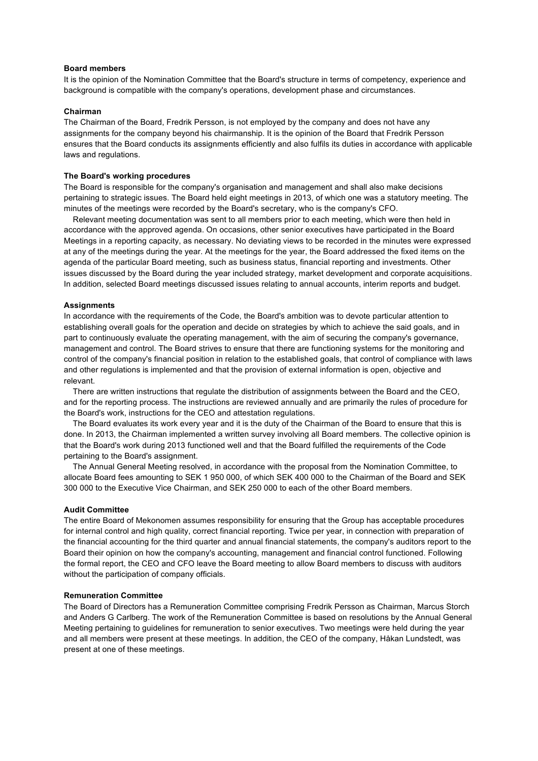#### **Board members**

It is the opinion of the Nomination Committee that the Board's structure in terms of competency, experience and background is compatible with the company's operations, development phase and circumstances.

#### **Chairman**

The Chairman of the Board, Fredrik Persson, is not employed by the company and does not have any assignments for the company beyond his chairmanship. It is the opinion of the Board that Fredrik Persson ensures that the Board conducts its assignments efficiently and also fulfils its duties in accordance with applicable laws and regulations.

#### **The Board's working procedures**

The Board is responsible for the company's organisation and management and shall also make decisions pertaining to strategic issues. The Board held eight meetings in 2013, of which one was a statutory meeting. The minutes of the meetings were recorded by the Board's secretary, who is the company's CFO.

 Relevant meeting documentation was sent to all members prior to each meeting, which were then held in accordance with the approved agenda. On occasions, other senior executives have participated in the Board Meetings in a reporting capacity, as necessary. No deviating views to be recorded in the minutes were expressed at any of the meetings during the year. At the meetings for the year, the Board addressed the fixed items on the agenda of the particular Board meeting, such as business status, financial reporting and investments. Other issues discussed by the Board during the year included strategy, market development and corporate acquisitions. In addition, selected Board meetings discussed issues relating to annual accounts, interim reports and budget.

#### **Assignments**

In accordance with the requirements of the Code, the Board's ambition was to devote particular attention to establishing overall goals for the operation and decide on strategies by which to achieve the said goals, and in part to continuously evaluate the operating management, with the aim of securing the company's governance, management and control. The Board strives to ensure that there are functioning systems for the monitoring and control of the company's financial position in relation to the established goals, that control of compliance with laws and other regulations is implemented and that the provision of external information is open, objective and relevant.

 There are written instructions that regulate the distribution of assignments between the Board and the CEO, and for the reporting process. The instructions are reviewed annually and are primarily the rules of procedure for the Board's work, instructions for the CEO and attestation regulations.

 The Board evaluates its work every year and it is the duty of the Chairman of the Board to ensure that this is done. In 2013, the Chairman implemented a written survey involving all Board members. The collective opinion is that the Board's work during 2013 functioned well and that the Board fulfilled the requirements of the Code pertaining to the Board's assignment.

 The Annual General Meeting resolved, in accordance with the proposal from the Nomination Committee, to allocate Board fees amounting to SEK 1 950 000, of which SEK 400 000 to the Chairman of the Board and SEK 300 000 to the Executive Vice Chairman, and SEK 250 000 to each of the other Board members.

#### **Audit Committee**

The entire Board of Mekonomen assumes responsibility for ensuring that the Group has acceptable procedures for internal control and high quality, correct financial reporting. Twice per year, in connection with preparation of the financial accounting for the third quarter and annual financial statements, the company's auditors report to the Board their opinion on how the company's accounting, management and financial control functioned. Following the formal report, the CEO and CFO leave the Board meeting to allow Board members to discuss with auditors without the participation of company officials.

#### **Remuneration Committee**

The Board of Directors has a Remuneration Committee comprising Fredrik Persson as Chairman, Marcus Storch and Anders G Carlberg. The work of the Remuneration Committee is based on resolutions by the Annual General Meeting pertaining to guidelines for remuneration to senior executives. Two meetings were held during the year and all members were present at these meetings. In addition, the CEO of the company, Håkan Lundstedt, was present at one of these meetings.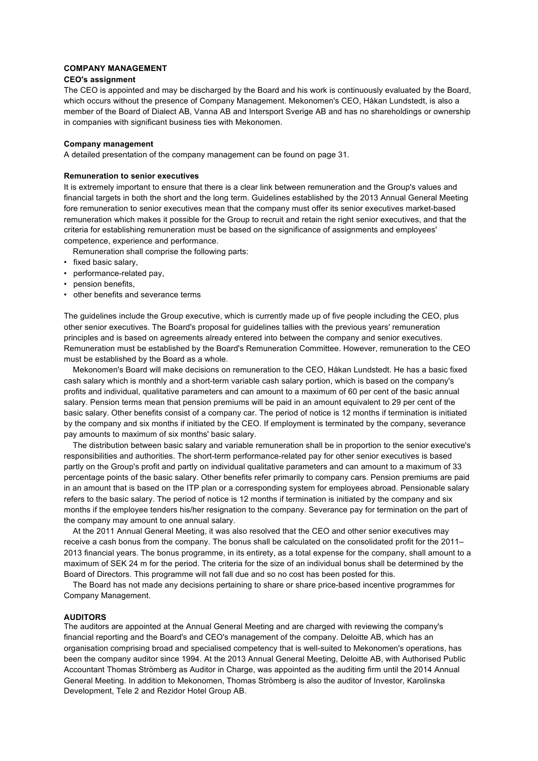#### **COMPANY MANAGEMENT**

## **CEO's assignment**

The CEO is appointed and may be discharged by the Board and his work is continuously evaluated by the Board, which occurs without the presence of Company Management. Mekonomen's CEO, Håkan Lundstedt, is also a member of the Board of Dialect AB, Vanna AB and Intersport Sverige AB and has no shareholdings or ownership in companies with significant business ties with Mekonomen.

#### **Company management**

A detailed presentation of the company management can be found on page 31.

#### **Remuneration to senior executives**

It is extremely important to ensure that there is a clear link between remuneration and the Group's values and financial targets in both the short and the long term. Guidelines established by the 2013 Annual General Meeting fore remuneration to senior executives mean that the company must offer its senior executives market-based remuneration which makes it possible for the Group to recruit and retain the right senior executives, and that the criteria for establishing remuneration must be based on the significance of assignments and employees' competence, experience and performance.

- Remuneration shall comprise the following parts:
- fixed basic salary,
- performance-related pay,
- pension benefits,
- other benefits and severance terms

The guidelines include the Group executive, which is currently made up of five people including the CEO, plus other senior executives. The Board's proposal for guidelines tallies with the previous years' remuneration principles and is based on agreements already entered into between the company and senior executives. Remuneration must be established by the Board's Remuneration Committee. However, remuneration to the CEO must be established by the Board as a whole.

 Mekonomen's Board will make decisions on remuneration to the CEO, Håkan Lundstedt. He has a basic fixed cash salary which is monthly and a short-term variable cash salary portion, which is based on the company's profits and individual, qualitative parameters and can amount to a maximum of 60 per cent of the basic annual salary. Pension terms mean that pension premiums will be paid in an amount equivalent to 29 per cent of the basic salary. Other benefits consist of a company car. The period of notice is 12 months if termination is initiated by the company and six months if initiated by the CEO. If employment is terminated by the company, severance pay amounts to maximum of six months' basic salary.

 The distribution between basic salary and variable remuneration shall be in proportion to the senior executive's responsibilities and authorities. The short-term performance-related pay for other senior executives is based partly on the Group's profit and partly on individual qualitative parameters and can amount to a maximum of 33 percentage points of the basic salary. Other benefits refer primarily to company cars. Pension premiums are paid in an amount that is based on the ITP plan or a corresponding system for employees abroad. Pensionable salary refers to the basic salary. The period of notice is 12 months if termination is initiated by the company and six months if the employee tenders his/her resignation to the company. Severance pay for termination on the part of the company may amount to one annual salary.

 At the 2011 Annual General Meeting, it was also resolved that the CEO and other senior executives may receive a cash bonus from the company. The bonus shall be calculated on the consolidated profit for the 2011– 2013 financial years. The bonus programme, in its entirety, as a total expense for the company, shall amount to a maximum of SEK 24 m for the period. The criteria for the size of an individual bonus shall be determined by the Board of Directors. This programme will not fall due and so no cost has been posted for this.

 The Board has not made any decisions pertaining to share or share price-based incentive programmes for Company Management.

# **AUDITORS**

The auditors are appointed at the Annual General Meeting and are charged with reviewing the company's financial reporting and the Board's and CEO's management of the company. Deloitte AB, which has an organisation comprising broad and specialised competency that is well-suited to Mekonomen's operations, has been the company auditor since 1994. At the 2013 Annual General Meeting, Deloitte AB, with Authorised Public Accountant Thomas Strömberg as Auditor in Charge, was appointed as the auditing firm until the 2014 Annual General Meeting. In addition to Mekonomen, Thomas Strömberg is also the auditor of Investor, Karolinska Development, Tele 2 and Rezidor Hotel Group AB.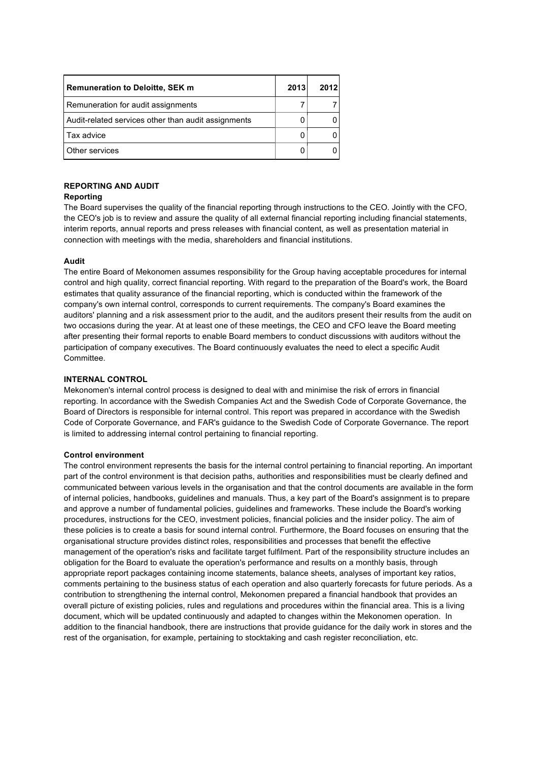| <b>Remuneration to Deloitte, SEK m</b>              | 2013 | 2012 |
|-----------------------------------------------------|------|------|
| Remuneration for audit assignments                  |      |      |
| Audit-related services other than audit assignments |      |      |
| l Tax advice                                        |      |      |
| Other services                                      |      |      |

# **REPORTING AND AUDIT**

# **Reporting**

The Board supervises the quality of the financial reporting through instructions to the CEO. Jointly with the CFO, the CEO's job is to review and assure the quality of all external financial reporting including financial statements, interim reports, annual reports and press releases with financial content, as well as presentation material in connection with meetings with the media, shareholders and financial institutions.

# **Audit**

The entire Board of Mekonomen assumes responsibility for the Group having acceptable procedures for internal control and high quality, correct financial reporting. With regard to the preparation of the Board's work, the Board estimates that quality assurance of the financial reporting, which is conducted within the framework of the company's own internal control, corresponds to current requirements. The company's Board examines the auditors' planning and a risk assessment prior to the audit, and the auditors present their results from the audit on two occasions during the year. At at least one of these meetings, the CEO and CFO leave the Board meeting after presenting their formal reports to enable Board members to conduct discussions with auditors without the participation of company executives. The Board continuously evaluates the need to elect a specific Audit Committee.

# **INTERNAL CONTROL**

Mekonomen's internal control process is designed to deal with and minimise the risk of errors in financial reporting. In accordance with the Swedish Companies Act and the Swedish Code of Corporate Governance, the Board of Directors is responsible for internal control. This report was prepared in accordance with the Swedish Code of Corporate Governance, and FAR's guidance to the Swedish Code of Corporate Governance. The report is limited to addressing internal control pertaining to financial reporting.

# **Control environment**

The control environment represents the basis for the internal control pertaining to financial reporting. An important part of the control environment is that decision paths, authorities and responsibilities must be clearly defined and communicated between various levels in the organisation and that the control documents are available in the form of internal policies, handbooks, guidelines and manuals. Thus, a key part of the Board's assignment is to prepare and approve a number of fundamental policies, guidelines and frameworks. These include the Board's working procedures, instructions for the CEO, investment policies, financial policies and the insider policy. The aim of these policies is to create a basis for sound internal control. Furthermore, the Board focuses on ensuring that the organisational structure provides distinct roles, responsibilities and processes that benefit the effective management of the operation's risks and facilitate target fulfilment. Part of the responsibility structure includes an obligation for the Board to evaluate the operation's performance and results on a monthly basis, through appropriate report packages containing income statements, balance sheets, analyses of important key ratios, comments pertaining to the business status of each operation and also quarterly forecasts for future periods. As a contribution to strengthening the internal control, Mekonomen prepared a financial handbook that provides an overall picture of existing policies, rules and regulations and procedures within the financial area. This is a living document, which will be updated continuously and adapted to changes within the Mekonomen operation. In addition to the financial handbook, there are instructions that provide guidance for the daily work in stores and the rest of the organisation, for example, pertaining to stocktaking and cash register reconciliation, etc.